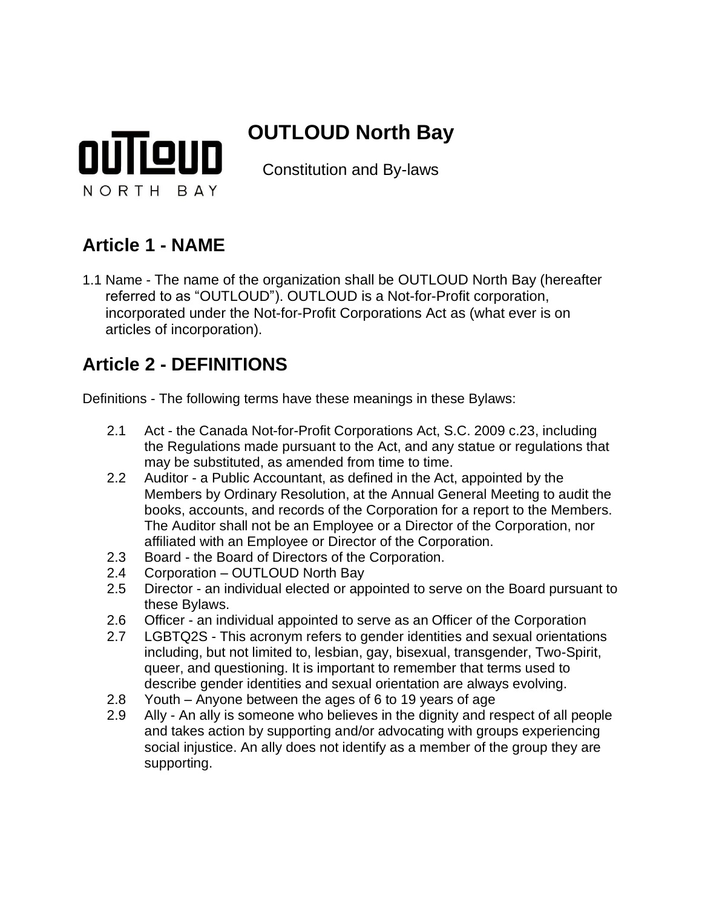

# **OUTLOUD North Bay**

Constitution and By-laws

### **Article 1 - NAME**

1.1 Name - The name of the organization shall be OUTLOUD North Bay (hereafter referred to as "OUTLOUD"). OUTLOUD is a Not-for-Profit corporation, incorporated under the Not-for-Profit Corporations Act as (what ever is on articles of incorporation).

### **Article 2 - DEFINITIONS**

Definitions - The following terms have these meanings in these Bylaws:

- 2.1 Act the Canada Not-for-Profit Corporations Act, S.C. 2009 c.23, including the Regulations made pursuant to the Act, and any statue or regulations that may be substituted, as amended from time to time.
- 2.2 Auditor a Public Accountant, as defined in the Act, appointed by the Members by Ordinary Resolution, at the Annual General Meeting to audit the books, accounts, and records of the Corporation for a report to the Members. The Auditor shall not be an Employee or a Director of the Corporation, nor affiliated with an Employee or Director of the Corporation.
- 2.3 Board the Board of Directors of the Corporation.
- 2.4 Corporation OUTLOUD North Bay
- 2.5 Director an individual elected or appointed to serve on the Board pursuant to these Bylaws.
- 2.6 Officer an individual appointed to serve as an Officer of the Corporation
- 2.7 LGBTQ2S This acronym refers to gender identities and sexual orientations including, but not limited to, lesbian, gay, bisexual, transgender, Two-Spirit, queer, and questioning. It is important to remember that terms used to describe gender identities and sexual orientation are always evolving.
- 2.8 Youth Anyone between the ages of 6 to 19 years of age
- 2.9 Ally An ally is someone who believes in the dignity and respect of all people and takes action by supporting and/or advocating with groups experiencing social injustice. An ally does not identify as a member of the group they are supporting.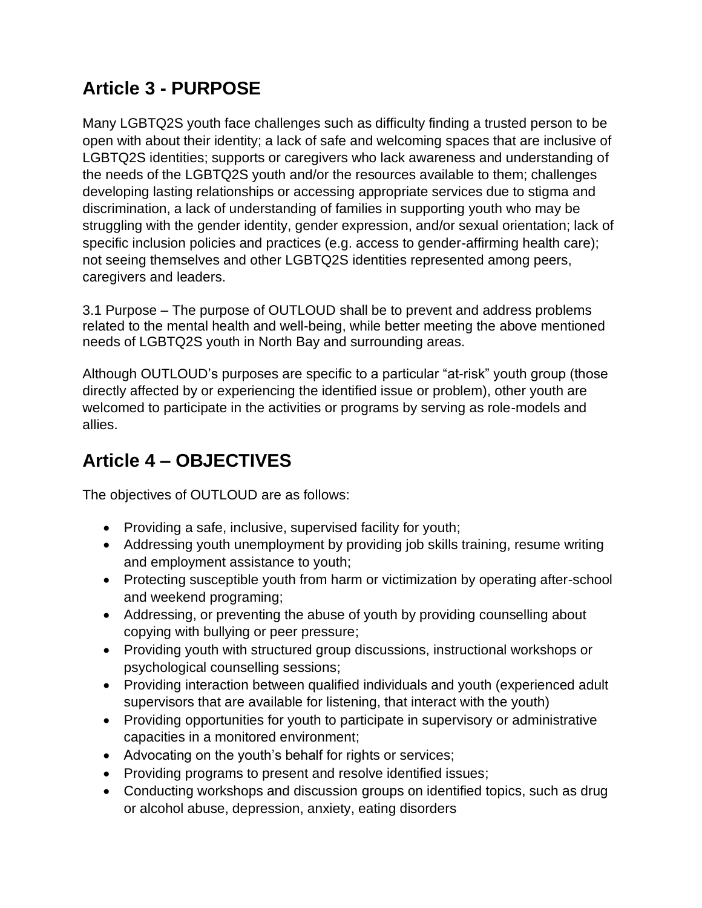## **Article 3 - PURPOSE**

Many LGBTQ2S youth face challenges such as difficulty finding a trusted person to be open with about their identity; a lack of safe and welcoming spaces that are inclusive of LGBTQ2S identities; supports or caregivers who lack awareness and understanding of the needs of the LGBTQ2S youth and/or the resources available to them; challenges developing lasting relationships or accessing appropriate services due to stigma and discrimination, a lack of understanding of families in supporting youth who may be struggling with the gender identity, gender expression, and/or sexual orientation; lack of specific inclusion policies and practices (e.g. access to gender-affirming health care); not seeing themselves and other LGBTQ2S identities represented among peers, caregivers and leaders.

3.1 Purpose – The purpose of OUTLOUD shall be to prevent and address problems related to the mental health and well-being, while better meeting the above mentioned needs of LGBTQ2S youth in North Bay and surrounding areas.

Although OUTLOUD's purposes are specific to a particular "at-risk" youth group (those directly affected by or experiencing the identified issue or problem), other youth are welcomed to participate in the activities or programs by serving as role-models and allies.

## **Article 4 – OBJECTIVES**

The objectives of OUTLOUD are as follows:

- Providing a safe, inclusive, supervised facility for youth;
- Addressing youth unemployment by providing job skills training, resume writing and employment assistance to youth;
- Protecting susceptible youth from harm or victimization by operating after-school and weekend programing;
- Addressing, or preventing the abuse of youth by providing counselling about copying with bullying or peer pressure;
- Providing youth with structured group discussions, instructional workshops or psychological counselling sessions;
- Providing interaction between qualified individuals and youth (experienced adult supervisors that are available for listening, that interact with the youth)
- Providing opportunities for youth to participate in supervisory or administrative capacities in a monitored environment;
- Advocating on the youth's behalf for rights or services;
- Providing programs to present and resolve identified issues;
- Conducting workshops and discussion groups on identified topics, such as drug or alcohol abuse, depression, anxiety, eating disorders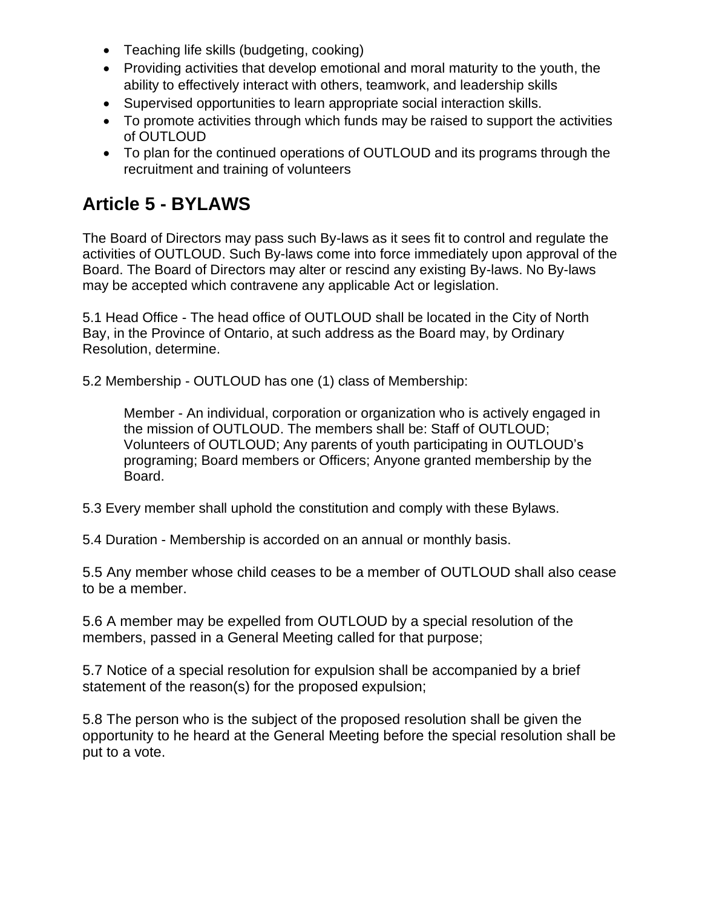- Teaching life skills (budgeting, cooking)
- Providing activities that develop emotional and moral maturity to the youth, the ability to effectively interact with others, teamwork, and leadership skills
- Supervised opportunities to learn appropriate social interaction skills.
- To promote activities through which funds may be raised to support the activities of OUTLOUD
- To plan for the continued operations of OUTLOUD and its programs through the recruitment and training of volunteers

### **Article 5 - BYLAWS**

The Board of Directors may pass such By-laws as it sees fit to control and regulate the activities of OUTLOUD. Such By-laws come into force immediately upon approval of the Board. The Board of Directors may alter or rescind any existing By-laws. No By-laws may be accepted which contravene any applicable Act or legislation.

5.1 Head Office - The head office of OUTLOUD shall be located in the City of North Bay, in the Province of Ontario, at such address as the Board may, by Ordinary Resolution, determine.

5.2 Membership - OUTLOUD has one (1) class of Membership:

Member - An individual, corporation or organization who is actively engaged in the mission of OUTLOUD. The members shall be: Staff of OUTLOUD; Volunteers of OUTLOUD; Any parents of youth participating in OUTLOUD's programing; Board members or Officers; Anyone granted membership by the Board.

5.3 Every member shall uphold the constitution and comply with these Bylaws.

5.4 Duration - Membership is accorded on an annual or monthly basis.

5.5 Any member whose child ceases to be a member of OUTLOUD shall also cease to be a member.

5.6 A member may be expelled from OUTLOUD by a special resolution of the members, passed in a General Meeting called for that purpose;

5.7 Notice of a special resolution for expulsion shall be accompanied by a brief statement of the reason(s) for the proposed expulsion;

5.8 The person who is the subject of the proposed resolution shall be given the opportunity to he heard at the General Meeting before the special resolution shall be put to a vote.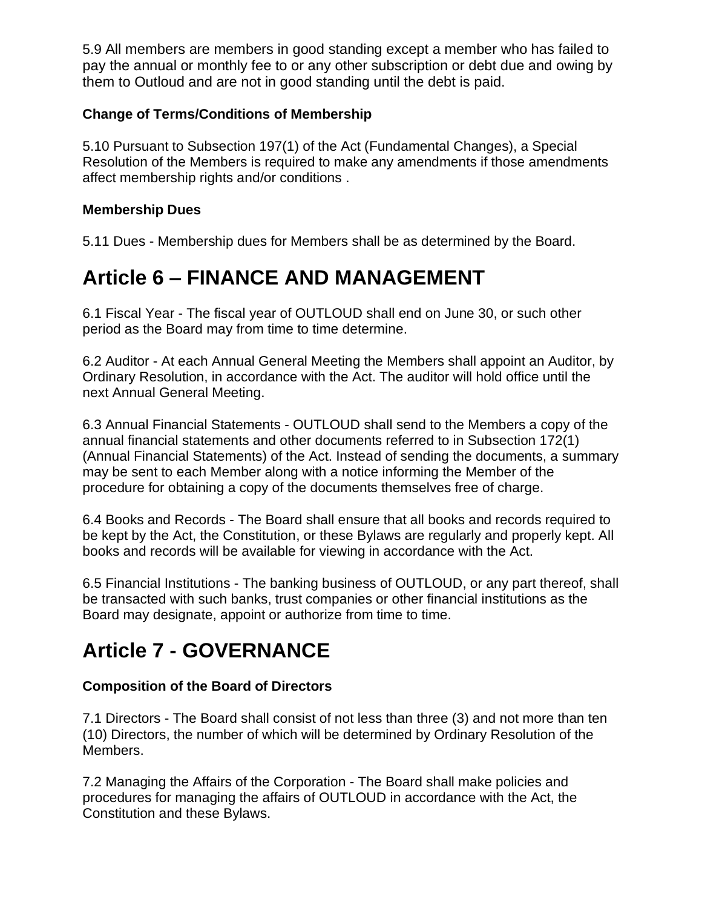5.9 All members are members in good standing except a member who has failed to pay the annual or monthly fee to or any other subscription or debt due and owing by them to Outloud and are not in good standing until the debt is paid.

#### **Change of Terms/Conditions of Membership**

5.10 Pursuant to Subsection 197(1) of the Act (Fundamental Changes), a Special Resolution of the Members is required to make any amendments if those amendments affect membership rights and/or conditions .

#### **Membership Dues**

5.11 Dues - Membership dues for Members shall be as determined by the Board.

## **Article 6 – FINANCE AND MANAGEMENT**

6.1 Fiscal Year - The fiscal year of OUTLOUD shall end on June 30, or such other period as the Board may from time to time determine.

6.2 Auditor - At each Annual General Meeting the Members shall appoint an Auditor, by Ordinary Resolution, in accordance with the Act. The auditor will hold office until the next Annual General Meeting.

6.3 Annual Financial Statements - OUTLOUD shall send to the Members a copy of the annual financial statements and other documents referred to in Subsection 172(1) (Annual Financial Statements) of the Act. Instead of sending the documents, a summary may be sent to each Member along with a notice informing the Member of the procedure for obtaining a copy of the documents themselves free of charge.

6.4 Books and Records - The Board shall ensure that all books and records required to be kept by the Act, the Constitution, or these Bylaws are regularly and properly kept. All books and records will be available for viewing in accordance with the Act.

6.5 Financial Institutions - The banking business of OUTLOUD, or any part thereof, shall be transacted with such banks, trust companies or other financial institutions as the Board may designate, appoint or authorize from time to time.

## **Article 7 - GOVERNANCE**

#### **Composition of the Board of Directors**

7.1 Directors - The Board shall consist of not less than three (3) and not more than ten (10) Directors, the number of which will be determined by Ordinary Resolution of the Members.

7.2 Managing the Affairs of the Corporation - The Board shall make policies and procedures for managing the affairs of OUTLOUD in accordance with the Act, the Constitution and these Bylaws.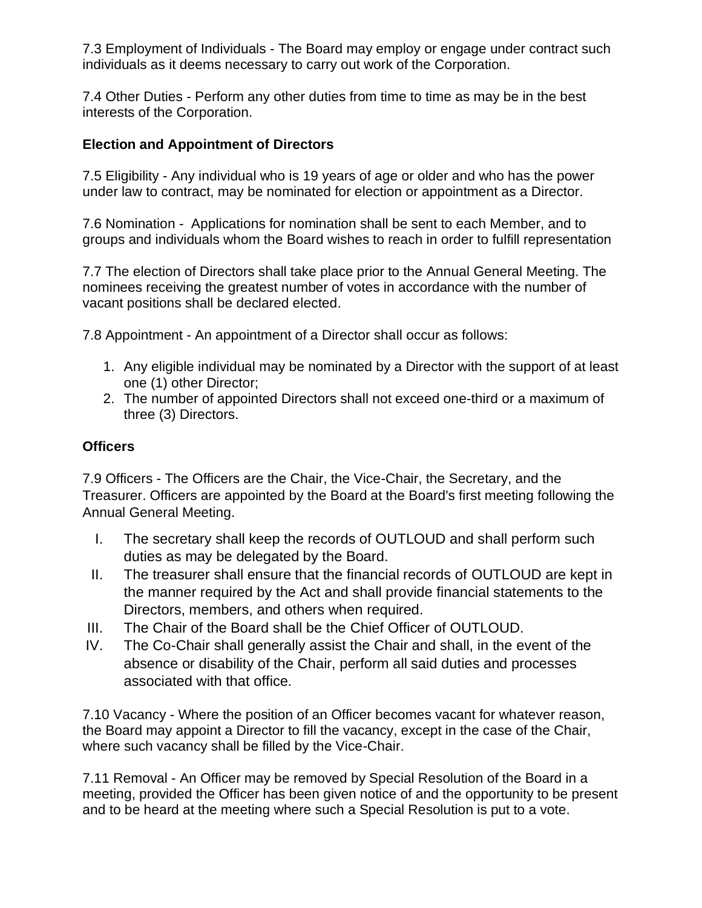7.3 Employment of Individuals - The Board may employ or engage under contract such individuals as it deems necessary to carry out work of the Corporation.

7.4 Other Duties - Perform any other duties from time to time as may be in the best interests of the Corporation.

### **Election and Appointment of Directors**

7.5 Eligibility - Any individual who is 19 years of age or older and who has the power under law to contract, may be nominated for election or appointment as a Director.

7.6 Nomination - Applications for nomination shall be sent to each Member, and to groups and individuals whom the Board wishes to reach in order to fulfill representation

7.7 The election of Directors shall take place prior to the Annual General Meeting. The nominees receiving the greatest number of votes in accordance with the number of vacant positions shall be declared elected.

7.8 Appointment - An appointment of a Director shall occur as follows:

- 1. Any eligible individual may be nominated by a Director with the support of at least one (1) other Director;
- 2. The number of appointed Directors shall not exceed one-third or a maximum of three (3) Directors.

#### **Officers**

7.9 Officers - The Officers are the Chair, the Vice-Chair, the Secretary, and the Treasurer. Officers are appointed by the Board at the Board's first meeting following the Annual General Meeting.

- I. The secretary shall keep the records of OUTLOUD and shall perform such duties as may be delegated by the Board.
- II. The treasurer shall ensure that the financial records of OUTLOUD are kept in the manner required by the Act and shall provide financial statements to the Directors, members, and others when required.
- III. The Chair of the Board shall be the Chief Officer of OUTLOUD.
- IV. The Co-Chair shall generally assist the Chair and shall, in the event of the absence or disability of the Chair, perform all said duties and processes associated with that office.

7.10 Vacancy - Where the position of an Officer becomes vacant for whatever reason, the Board may appoint a Director to fill the vacancy, except in the case of the Chair, where such vacancy shall be filled by the Vice-Chair.

7.11 Removal - An Officer may be removed by Special Resolution of the Board in a meeting, provided the Officer has been given notice of and the opportunity to be present and to be heard at the meeting where such a Special Resolution is put to a vote.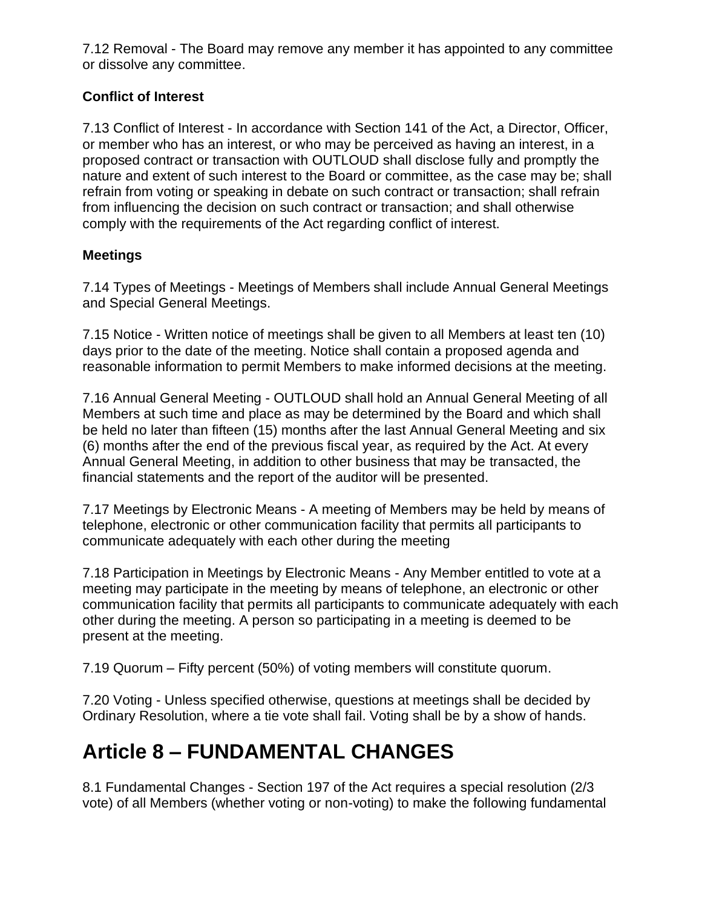7.12 Removal - The Board may remove any member it has appointed to any committee or dissolve any committee.

### **Conflict of Interest**

7.13 Conflict of Interest - In accordance with Section 141 of the Act, a Director, Officer, or member who has an interest, or who may be perceived as having an interest, in a proposed contract or transaction with OUTLOUD shall disclose fully and promptly the nature and extent of such interest to the Board or committee, as the case may be; shall refrain from voting or speaking in debate on such contract or transaction; shall refrain from influencing the decision on such contract or transaction; and shall otherwise comply with the requirements of the Act regarding conflict of interest.

#### **Meetings**

7.14 Types of Meetings - Meetings of Members shall include Annual General Meetings and Special General Meetings.

7.15 Notice - Written notice of meetings shall be given to all Members at least ten (10) days prior to the date of the meeting. Notice shall contain a proposed agenda and reasonable information to permit Members to make informed decisions at the meeting.

7.16 Annual General Meeting - OUTLOUD shall hold an Annual General Meeting of all Members at such time and place as may be determined by the Board and which shall be held no later than fifteen (15) months after the last Annual General Meeting and six (6) months after the end of the previous fiscal year, as required by the Act. At every Annual General Meeting, in addition to other business that may be transacted, the financial statements and the report of the auditor will be presented.

7.17 Meetings by Electronic Means - A meeting of Members may be held by means of telephone, electronic or other communication facility that permits all participants to communicate adequately with each other during the meeting

7.18 Participation in Meetings by Electronic Means - Any Member entitled to vote at a meeting may participate in the meeting by means of telephone, an electronic or other communication facility that permits all participants to communicate adequately with each other during the meeting. A person so participating in a meeting is deemed to be present at the meeting.

7.19 Quorum – Fifty percent (50%) of voting members will constitute quorum.

7.20 Voting - Unless specified otherwise, questions at meetings shall be decided by Ordinary Resolution, where a tie vote shall fail. Voting shall be by a show of hands.

# **Article 8 – FUNDAMENTAL CHANGES**

8.1 Fundamental Changes - Section 197 of the Act requires a special resolution (2/3 vote) of all Members (whether voting or non-voting) to make the following fundamental